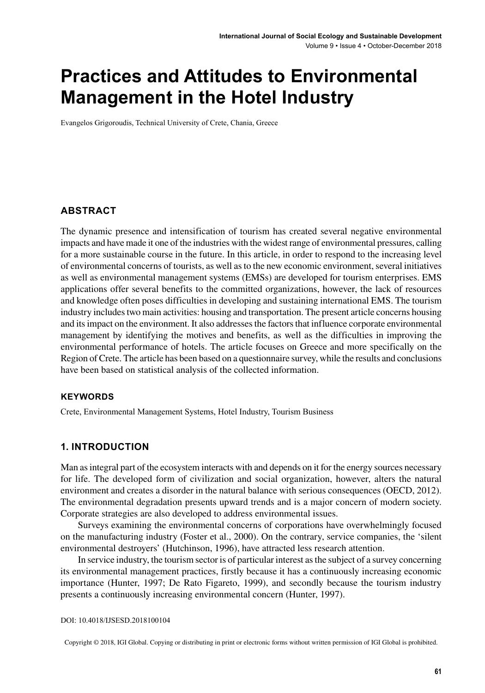# **Practices and Attitudes to Environmental Management in the Hotel Industry**

Evangelos Grigoroudis, Technical University of Crete, Chania, Greece

### **ABSTRACT**

The dynamic presence and intensification of tourism has created several negative environmental impacts and have made it one of the industries with the widest range of environmental pressures, calling for a more sustainable course in the future. In this article, in order to respond to the increasing level of environmental concerns of tourists, as well asto the new economic environment,several initiatives as well as environmental management systems (EMSs) are developed for tourism enterprises. EMS applications offer several benefits to the committed organizations, however, the lack of resources and knowledge often poses difficulties in developing and sustaining international EMS. The tourism industry includestwo main activities: housing and transportation. The present article concerns housing and its impact on the environment. It also addresses the factors that influence corporate environmental management by identifying the motives and benefits, as well as the difficulties in improving the environmental performance of hotels. The article focuses on Greece and more specifically on the Region of Crete. The article has been based on a questionnaire survey, while the results and conclusions have been based on statistical analysis of the collected information.

#### **Keywords**

Crete, Environmental Management Systems, Hotel Industry, Tourism Business

#### **1. INTRODUCTION**

Man asintegral part of the ecosystem interacts with and depends on it for the energy sources necessary for life. The developed form of civilization and social organization, however, alters the natural environment and creates a disorder in the natural balance with serious consequences (OECD, 2012). The environmental degradation presents upward trends and is a major concern of modern society. Corporate strategies are also developed to address environmental issues.

Surveys examining the environmental concerns of corporations have overwhelmingly focused on the manufacturing industry (Foster et al., 2000). On the contrary, service companies, the 'silent environmental destroyers' (Hutchinson, 1996), have attracted less research attention.

In service industry, the tourism sector is of particular interest asthe subject of a survey concerning its environmental management practices, firstly because it has a continuously increasing economic importance (Hunter, 1997; De Rato Figareto, 1999), and secondly because the tourism industry presents a continuously increasing environmental concern (Hunter, 1997).

DOI: 10.4018/IJSESD.2018100104

Copyright © 2018, IGI Global. Copying or distributing in print or electronic forms without written permission of IGI Global is prohibited.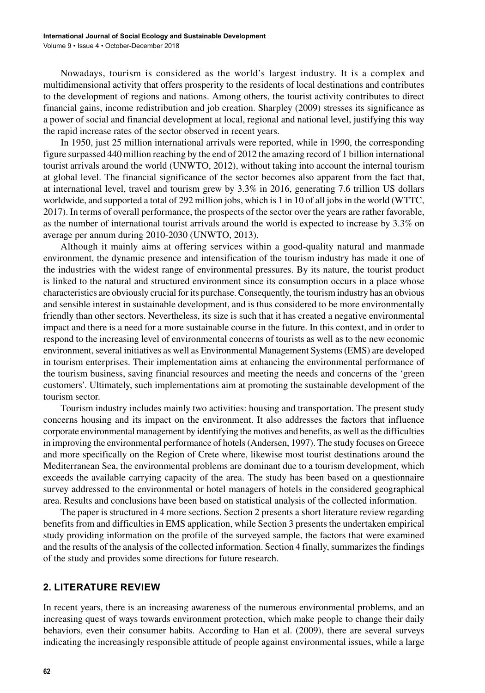Nowadays, tourism is considered as the world's largest industry. It is a complex and multidimensional activity that offers prosperity to the residents of local destinations and contributes to the development of regions and nations. Among others, the tourist activity contributes to direct financial gains, income redistribution and job creation. Sharpley (2009) stresses its significance as a power of social and financial development at local, regional and national level, justifying this way the rapid increase rates of the sector observed in recent years.

In 1950, just 25 million international arrivals were reported, while in 1990, the corresponding figure surpassed 440 million reaching by the end of 2012 the amazing record of 1 billion international tourist arrivals around the world (UNWTO, 2012), without taking into account the internal tourism at global level. The financial significance of the sector becomes also apparent from the fact that, at international level, travel and tourism grew by 3.3% in 2016, generating 7.6 trillion US dollars worldwide, and supported a total of 292 million jobs, which is 1 in 10 of all jobsin the world (WTTC, 2017). In terms of overall performance, the prospects of the sector over the years are rather favorable, as the number of international tourist arrivals around the world is expected to increase by 3.3% on average per annum during 2010-2030 (UNWTO, 2013).

Although it mainly aims at offering services within a good-quality natural and manmade environment, the dynamic presence and intensification of the tourism industry has made it one of the industries with the widest range of environmental pressures. By its nature, the tourist product is linked to the natural and structured environment since its consumption occurs in a place whose characteristics are obviously crucial for its purchase.Consequently, the tourism industry has an obvious and sensible interest in sustainable development, and is thus considered to be more environmentally friendly than other sectors. Nevertheless, its size is such that it has created a negative environmental impact and there is a need for a more sustainable course in the future. In this context, and in order to respond to the increasing level of environmental concerns of tourists as well as to the new economic environment, several initiatives as well as Environmental Management Systems (EMS) are developed in tourism enterprises. Their implementation aims at enhancing the environmental performance of the tourism business, saving financial resources and meeting the needs and concerns of the 'green customers'. Ultimately, such implementations aim at promoting the sustainable development of the tourism sector.

Tourism industry includes mainly two activities: housing and transportation. The present study concerns housing and its impact on the environment. It also addresses the factors that influence corporate environmental management by identifying the motives and benefits, as well asthe difficulties in improving the environmental performance of hotels (Andersen, 1997). The study focuses on Greece and more specifically on the Region of Crete where, likewise most tourist destinations around the Mediterranean Sea, the environmental problems are dominant due to a tourism development, which exceeds the available carrying capacity of the area. The study has been based on a questionnaire survey addressed to the environmental or hotel managers of hotels in the considered geographical area. Results and conclusions have been based on statistical analysis of the collected information.

The paper is structured in 4 more sections. Section 2 presents a short literature review regarding benefits from and difficulties in EMS application, while Section 3 presents the undertaken empirical study providing information on the profile of the surveyed sample, the factors that were examined and the results of the analysis of the collected information. Section 4 finally, summarizes the findings of the study and provides some directions for future research.

#### **2. LITERATURE REVIEW**

In recent years, there is an increasing awareness of the numerous environmental problems, and an increasing quest of ways towards environment protection, which make people to change their daily behaviors, even their consumer habits. According to Han et al. (2009), there are several surveys indicating the increasingly responsible attitude of people against environmental issues, while a large